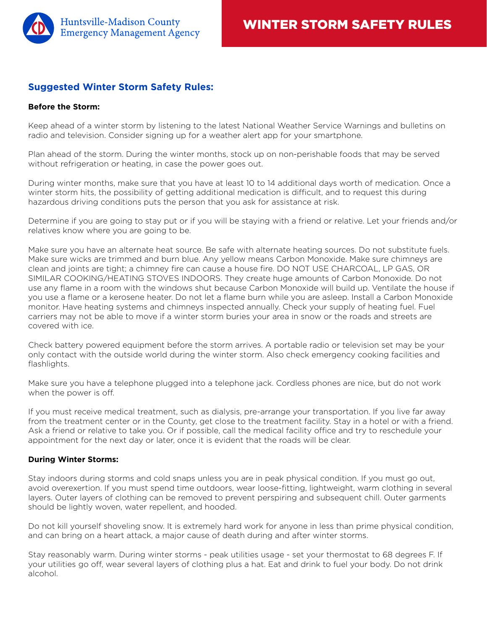

## **Suggested Winter Storm Safety Rules:**

## **Before the Storm:**

Keep ahead of a winter storm by listening to the latest National Weather Service Warnings and bulletins on radio and television. Consider signing up for a weather alert app for your smartphone.

Plan ahead of the storm. During the winter months, stock up on non-perishable foods that may be served without refrigeration or heating, in case the power goes out.

During winter months, make sure that you have at least 10 to 14 additional days worth of medication. Once a winter storm hits, the possibility of getting additional medication is difficult, and to request this during hazardous driving conditions puts the person that you ask for assistance at risk.

Determine if you are going to stay put or if you will be staying with a friend or relative. Let your friends and/or relatives know where you are going to be.

Make sure you have an alternate heat source. Be safe with alternate heating sources. Do not substitute fuels. Make sure wicks are trimmed and burn blue. Any yellow means Carbon Monoxide. Make sure chimneys are clean and joints are tight; a chimney fire can cause a house fire. DO NOT USE CHARCOAL, LP GAS, OR SIMILAR COOKING/HEATING STOVES INDOORS. They create huge amounts of Carbon Monoxide. Do not use any flame in a room with the windows shut because Carbon Monoxide will build up. Ventilate the house if you use a flame or a kerosene heater. Do not let a flame burn while you are asleep. Install a Carbon Monoxide monitor. Have heating systems and chimneys inspected annually. Check your supply of heating fuel. Fuel carriers may not be able to move if a winter storm buries your area in snow or the roads and streets are covered with ice.

Check battery powered equipment before the storm arrives. A portable radio or television set may be your only contact with the outside world during the winter storm. Also check emergency cooking facilities and flashlights.

Make sure you have a telephone plugged into a telephone jack. Cordless phones are nice, but do not work when the power is off.

If you must receive medical treatment, such as dialysis, pre-arrange your transportation. If you live far away from the treatment center or in the County, get close to the treatment facility. Stay in a hotel or with a friend. Ask a friend or relative to take you. Or if possible, call the medical facility office and try to reschedule your appointment for the next day or later, once it is evident that the roads will be clear.

## **During Winter Storms:**

Stay indoors during storms and cold snaps unless you are in peak physical condition. If you must go out, avoid overexertion. If you must spend time outdoors, wear loose-fitting, lightweight, warm clothing in several layers. Outer layers of clothing can be removed to prevent perspiring and subsequent chill. Outer garments should be lightly woven, water repellent, and hooded.

Do not kill yourself shoveling snow. It is extremely hard work for anyone in less than prime physical condition, and can bring on a heart attack, a major cause of death during and after winter storms.

Stay reasonably warm. During winter storms - peak utilities usage - set your thermostat to 68 degrees F. If your utilities go off, wear several layers of clothing plus a hat. Eat and drink to fuel your body. Do not drink alcohol.